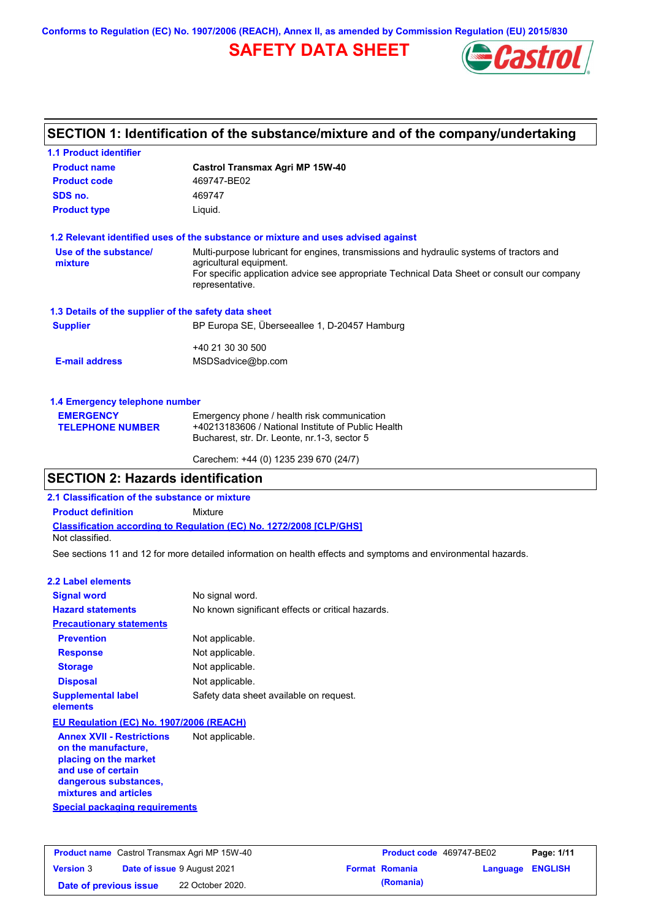**Conforms to Regulation (EC) No. 1907/2006 (REACH), Annex II, as amended by Commission Regulation (EU) 2015/830**

# **SAFETY DATA SHEET**



### **SECTION 1: Identification of the substance/mixture and of the company/undertaking**

| <b>1.1 Product identifier</b>                        |                                                                                                                                                   |  |
|------------------------------------------------------|---------------------------------------------------------------------------------------------------------------------------------------------------|--|
| <b>Product name</b>                                  | <b>Castrol Transmax Agri MP 15W-40</b>                                                                                                            |  |
| <b>Product code</b>                                  | 469747-BE02                                                                                                                                       |  |
| SDS no.                                              | 469747                                                                                                                                            |  |
| <b>Product type</b>                                  | Liquid.                                                                                                                                           |  |
|                                                      | 1.2 Relevant identified uses of the substance or mixture and uses advised against                                                                 |  |
| Use of the substance/<br>mixture                     | Multi-purpose lubricant for engines, transmissions and hydraulic systems of tractors and<br>agricultural equipment.                               |  |
|                                                      | For specific application advice see appropriate Technical Data Sheet or consult our company<br>representative.                                    |  |
| 1.3 Details of the supplier of the safety data sheet |                                                                                                                                                   |  |
| <b>Supplier</b>                                      | BP Europa SE, Überseeallee 1, D-20457 Hamburg                                                                                                     |  |
|                                                      | +40 21 30 30 500                                                                                                                                  |  |
| <b>E-mail address</b>                                | MSDSadvice@bp.com                                                                                                                                 |  |
| 1.4 Emergency telephone number                       |                                                                                                                                                   |  |
| <b>EMERGENCY</b><br><b>TELEPHONE NUMBER</b>          | Emergency phone / health risk communication<br>+40213183606 / National Institute of Public Health<br>Bucharest, str. Dr. Leonte, nr.1-3, sector 5 |  |
|                                                      | Carechem: +44 (0) 1235 239 670 (24/7)                                                                                                             |  |

### **SECTION 2: Hazards identification**

**2.1 Classification of the substance or mixture**

**Product definition** Mixture

**Classification according to Regulation (EC) No. 1272/2008 [CLP/GHS]**

Not classified.

See sections 11 and 12 for more detailed information on health effects and symptoms and environmental hazards.

### **2.2 Label elements**

| <b>Signal word</b>                                                                                     | No signal word.                                   |
|--------------------------------------------------------------------------------------------------------|---------------------------------------------------|
| <b>Hazard statements</b>                                                                               | No known significant effects or critical hazards. |
| <b>Precautionary statements</b>                                                                        |                                                   |
| <b>Prevention</b>                                                                                      | Not applicable.                                   |
| <b>Response</b>                                                                                        | Not applicable.                                   |
| <b>Storage</b>                                                                                         | Not applicable.                                   |
| <b>Disposal</b>                                                                                        | Not applicable.                                   |
| <b>Supplemental label</b><br>elements                                                                  | Safety data sheet available on request.           |
| EU Regulation (EC) No. 1907/2006 (REACH)                                                               |                                                   |
| <b>Annex XVII - Restrictions</b><br>on the manufacture,<br>الجمادات ومعارضه والجارون والمرواد والمراجع | Not applicable.                                   |

**Special packaging requirements placing on the market and use of certain dangerous substances, mixtures and articles**

**Product name** Castrol Transmax Agri MP 15W-40 **Product Code** 469747-BE02 **Page: 1/11 Version** 3 **Date of issue** 9 August 2021 **Format Romania Language ENGLISH Date of previous issue (Romania)** 22 October 2020.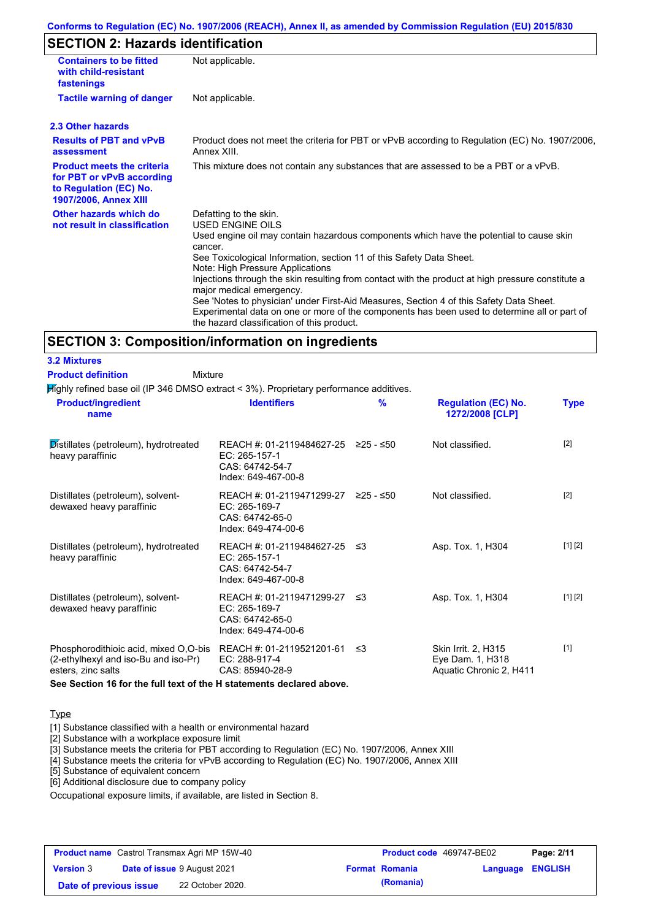### **Conforms to Regulation (EC) No. 1907/2006 (REACH), Annex II, as amended by Commission Regulation (EU) 2015/830**

### **SECTION 2: Hazards identification**

| <b>Containers to be fitted</b><br>with child-resistant<br>fastenings                                                     | Not applicable.                                                                                                                                                                                                                                                                                                                                                                                                                                                                                                                                                                                                                        |
|--------------------------------------------------------------------------------------------------------------------------|----------------------------------------------------------------------------------------------------------------------------------------------------------------------------------------------------------------------------------------------------------------------------------------------------------------------------------------------------------------------------------------------------------------------------------------------------------------------------------------------------------------------------------------------------------------------------------------------------------------------------------------|
| <b>Tactile warning of danger</b>                                                                                         | Not applicable.                                                                                                                                                                                                                                                                                                                                                                                                                                                                                                                                                                                                                        |
| 2.3 Other hazards                                                                                                        |                                                                                                                                                                                                                                                                                                                                                                                                                                                                                                                                                                                                                                        |
| <b>Results of PBT and vPvB</b><br>assessment                                                                             | Product does not meet the criteria for PBT or vPvB according to Regulation (EC) No. 1907/2006,<br>Annex XIII.                                                                                                                                                                                                                                                                                                                                                                                                                                                                                                                          |
| <b>Product meets the criteria</b><br>for PBT or vPvB according<br>to Regulation (EC) No.<br><b>1907/2006, Annex XIII</b> | This mixture does not contain any substances that are assessed to be a PBT or a vPvB.                                                                                                                                                                                                                                                                                                                                                                                                                                                                                                                                                  |
| Other hazards which do<br>not result in classification                                                                   | Defatting to the skin.<br>USED ENGINE OILS<br>Used engine oil may contain hazardous components which have the potential to cause skin<br>cancer.<br>See Toxicological Information, section 11 of this Safety Data Sheet.<br>Note: High Pressure Applications<br>Injections through the skin resulting from contact with the product at high pressure constitute a<br>major medical emergency.<br>See 'Notes to physician' under First-Aid Measures, Section 4 of this Safety Data Sheet.<br>Experimental data on one or more of the components has been used to determine all or part of<br>the hazard classification of this product. |

### **SECTION 3: Composition/information on ingredients**

### **3.2 Mixtures**

| <b>Product definition</b> |
|---------------------------|
|---------------------------|

Highly refined base oil (IP 346 DMSO extract < 3%). Proprietary performance additives. Mixture

| <b>Product/ingredient</b><br>name                                                                   | <b>Identifiers</b>                                                                             | $\frac{9}{6}$ | <b>Regulation (EC) No.</b><br>1272/2008 [CLP]                      | <b>Type</b> |
|-----------------------------------------------------------------------------------------------------|------------------------------------------------------------------------------------------------|---------------|--------------------------------------------------------------------|-------------|
| Distillates (petroleum), hydrotreated<br>heavy paraffinic                                           | REACH #: 01-2119484627-25 ≥25 - ≤50<br>EC: 265-157-1<br>CAS: 64742-54-7<br>Index: 649-467-00-8 |               | Not classified.                                                    | $[2]$       |
| Distillates (petroleum), solvent-<br>dewaxed heavy paraffinic                                       | REACH #: 01-2119471299-27<br>EC: 265-169-7<br>CAS: 64742-65-0<br>Index: 649-474-00-6           | ≥25 - ≤50     | Not classified.                                                    | $[2]$       |
| Distillates (petroleum), hydrotreated<br>heavy paraffinic                                           | REACH #: 01-2119484627-25 ≤3<br>EC: 265-157-1<br>CAS: 64742-54-7<br>Index: 649-467-00-8        |               | Asp. Tox. 1, H304                                                  | [1] [2]     |
| Distillates (petroleum), solvent-<br>dewaxed heavy paraffinic                                       | REACH #: 01-2119471299-27<br>EC: 265-169-7<br>CAS: 64742-65-0<br>Index: 649-474-00-6           | ב≥            | Asp. Tox. 1, H304                                                  | [1] [2]     |
| Phosphorodithioic acid, mixed O,O-bis<br>(2-ethylhexyl and iso-Bu and iso-Pr)<br>esters, zinc salts | REACH #: 01-2119521201-61<br>EC: 288-917-4<br>CAS: 85940-28-9                                  | ึ ≤3          | Skin Irrit. 2, H315<br>Eye Dam. 1, H318<br>Aquatic Chronic 2, H411 | $[1]$       |

**See Section 16 for the full text of the H statements declared above.**

### **Type**

[1] Substance classified with a health or environmental hazard

[2] Substance with a workplace exposure limit

[3] Substance meets the criteria for PBT according to Regulation (EC) No. 1907/2006, Annex XIII

[4] Substance meets the criteria for vPvB according to Regulation (EC) No. 1907/2006, Annex XIII

[5] Substance of equivalent concern

[6] Additional disclosure due to company policy

Occupational exposure limits, if available, are listed in Section 8.

|                        | <b>Product name</b> Castrol Transmax Agri MP 15W-40 | Product code 469747-BE02 |                  | Page: 2/11 |
|------------------------|-----------------------------------------------------|--------------------------|------------------|------------|
| <b>Version 3</b>       | <b>Date of issue 9 August 2021</b>                  | <b>Format Romania</b>    | Language ENGLISH |            |
| Date of previous issue | 22 October 2020.                                    | (Romania)                |                  |            |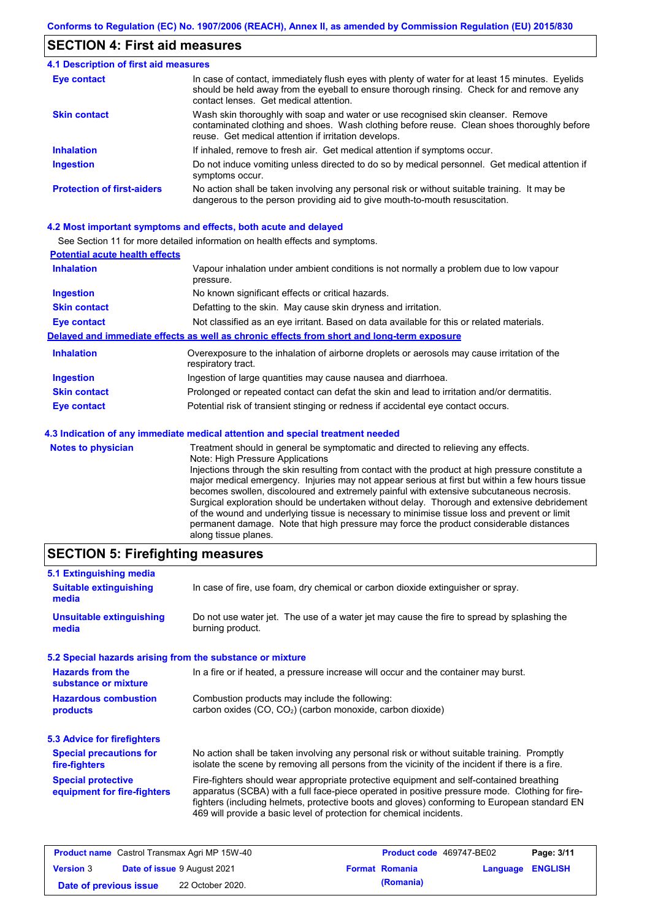### **SECTION 4: First aid measures**

#### Do not induce vomiting unless directed to do so by medical personnel. Get medical attention if symptoms occur. In case of contact, immediately flush eyes with plenty of water for at least 15 minutes. Eyelids should be held away from the eyeball to ensure thorough rinsing. Check for and remove any contact lenses. Get medical attention. **4.1 Description of first aid measures** If inhaled, remove to fresh air. Get medical attention if symptoms occur. **Ingestion Inhalation Eye contact Protection of first-aiders** No action shall be taken involving any personal risk or without suitable training. It may be dangerous to the person providing aid to give mouth-to-mouth resuscitation. **Skin contact** Wash skin thoroughly with soap and water or use recognised skin cleanser. Remove contaminated clothing and shoes. Wash clothing before reuse. Clean shoes thoroughly before reuse. Get medical attention if irritation develops.

### **4.2 Most important symptoms and effects, both acute and delayed**

See Section 11 for more detailed information on health effects and symptoms.

| <b>Potential acute health effects</b> |                                                                                                                   |
|---------------------------------------|-------------------------------------------------------------------------------------------------------------------|
| <b>Inhalation</b>                     | Vapour inhalation under ambient conditions is not normally a problem due to low vapour<br>pressure.               |
| <b>Ingestion</b>                      | No known significant effects or critical hazards.                                                                 |
| <b>Skin contact</b>                   | Defatting to the skin. May cause skin dryness and irritation.                                                     |
| <b>Eye contact</b>                    | Not classified as an eye irritant. Based on data available for this or related materials.                         |
|                                       | Delayed and immediate effects as well as chronic effects from short and long-term exposure                        |
| <b>Inhalation</b>                     | Overexposure to the inhalation of airborne droplets or aerosols may cause irritation of the<br>respiratory tract. |
| <b>Ingestion</b>                      | Ingestion of large quantities may cause nausea and diarrhoea.                                                     |
| <b>Skin contact</b>                   | Prolonged or repeated contact can defat the skin and lead to irritation and/or dermatitis.                        |
| Eye contact                           | Potential risk of transient stinging or redness if accidental eye contact occurs.                                 |
|                                       | 4.3 Indication of any immediate medical attention and special treatment needed                                    |
| Notes to physician                    | Treatment should in general he symptomatic and directed to relieving any effects                                  |

**Notes to physician** Treatment should in general be symptomatic and directed to relieving any effects. Note: High Pressure Applications Injections through the skin resulting from contact with the product at high pressure constitute a major medical emergency. Injuries may not appear serious at first but within a few hours tissue becomes swollen, discoloured and extremely painful with extensive subcutaneous necrosis. Surgical exploration should be undertaken without delay. Thorough and extensive debridement of the wound and underlying tissue is necessary to minimise tissue loss and prevent or limit permanent damage. Note that high pressure may force the product considerable distances along tissue planes.

### **SECTION 5: Firefighting measures**

| 5.1 Extinguishing media                                   |                                                                                                                                                                                                                                                                                                                                                                   |
|-----------------------------------------------------------|-------------------------------------------------------------------------------------------------------------------------------------------------------------------------------------------------------------------------------------------------------------------------------------------------------------------------------------------------------------------|
| <b>Suitable extinguishing</b><br>media                    | In case of fire, use foam, dry chemical or carbon dioxide extinguisher or spray.                                                                                                                                                                                                                                                                                  |
| <b>Unsuitable extinguishing</b><br>media                  | Do not use water jet. The use of a water jet may cause the fire to spread by splashing the<br>burning product.                                                                                                                                                                                                                                                    |
| 5.2 Special hazards arising from the substance or mixture |                                                                                                                                                                                                                                                                                                                                                                   |
| <b>Hazards from the</b><br>substance or mixture           | In a fire or if heated, a pressure increase will occur and the container may burst.                                                                                                                                                                                                                                                                               |
| <b>Hazardous combustion</b><br>products                   | Combustion products may include the following:<br>carbon oxides (CO, CO <sub>2</sub> ) (carbon monoxide, carbon dioxide)                                                                                                                                                                                                                                          |
| 5.3 Advice for firefighters                               |                                                                                                                                                                                                                                                                                                                                                                   |
| <b>Special precautions for</b><br>fire-fighters           | No action shall be taken involving any personal risk or without suitable training. Promptly<br>isolate the scene by removing all persons from the vicinity of the incident if there is a fire.                                                                                                                                                                    |
| <b>Special protective</b><br>equipment for fire-fighters  | Fire-fighters should wear appropriate protective equipment and self-contained breathing<br>apparatus (SCBA) with a full face-piece operated in positive pressure mode. Clothing for fire-<br>fighters (including helmets, protective boots and gloves) conforming to European standard EN<br>469 will provide a basic level of protection for chemical incidents. |

|                        | <b>Product name</b> Castrol Transmax Agri MP 15W-40 | <b>Product code</b> 469747-BE02 |                         | Page: 3/11 |
|------------------------|-----------------------------------------------------|---------------------------------|-------------------------|------------|
| <b>Version 3</b>       | <b>Date of issue 9 August 2021</b>                  | <b>Format Romania</b>           | <b>Language ENGLISH</b> |            |
| Date of previous issue | 22 October 2020.                                    | (Romania)                       |                         |            |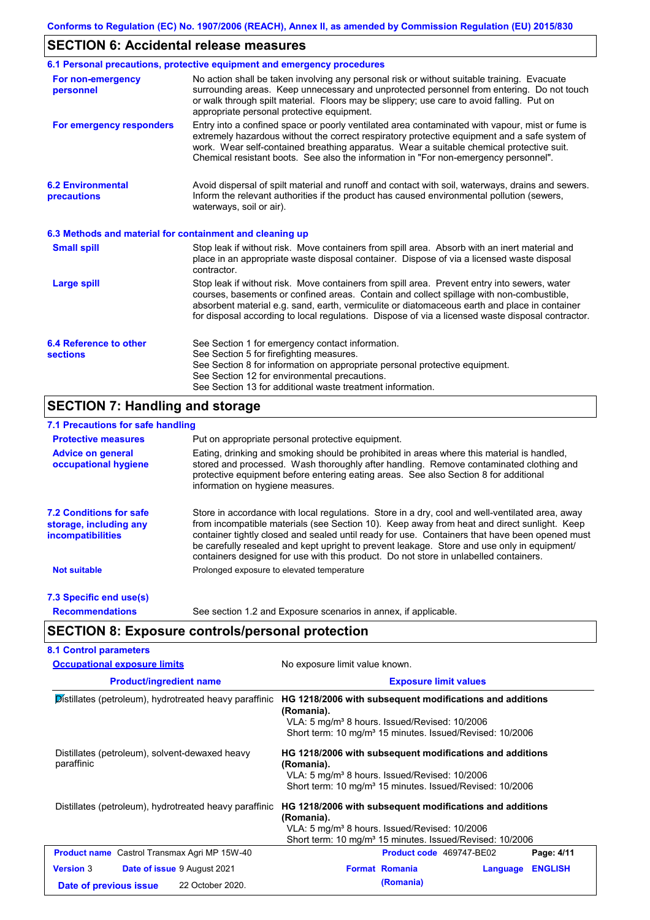### **SECTION 6: Accidental release measures**

|                                                          | 6.1 Personal precautions, protective equipment and emergency procedures                                                                                                                                                                                                                                                                                                                        |
|----------------------------------------------------------|------------------------------------------------------------------------------------------------------------------------------------------------------------------------------------------------------------------------------------------------------------------------------------------------------------------------------------------------------------------------------------------------|
| For non-emergency<br>personnel                           | No action shall be taken involving any personal risk or without suitable training. Evacuate<br>surrounding areas. Keep unnecessary and unprotected personnel from entering. Do not touch<br>or walk through spilt material. Floors may be slippery; use care to avoid falling. Put on<br>appropriate personal protective equipment.                                                            |
| For emergency responders                                 | Entry into a confined space or poorly ventilated area contaminated with vapour, mist or fume is<br>extremely hazardous without the correct respiratory protective equipment and a safe system of<br>work. Wear self-contained breathing apparatus. Wear a suitable chemical protective suit.<br>Chemical resistant boots. See also the information in "For non-emergency personnel".           |
| <b>6.2 Environmental</b><br>precautions                  | Avoid dispersal of spilt material and runoff and contact with soil, waterways, drains and sewers.<br>Inform the relevant authorities if the product has caused environmental pollution (sewers,<br>waterways, soil or air).                                                                                                                                                                    |
| 6.3 Methods and material for containment and cleaning up |                                                                                                                                                                                                                                                                                                                                                                                                |
| <b>Small spill</b>                                       | Stop leak if without risk. Move containers from spill area. Absorb with an inert material and<br>place in an appropriate waste disposal container. Dispose of via a licensed waste disposal<br>contractor.                                                                                                                                                                                     |
| <b>Large spill</b>                                       | Stop leak if without risk. Move containers from spill area. Prevent entry into sewers, water<br>courses, basements or confined areas. Contain and collect spillage with non-combustible,<br>absorbent material e.g. sand, earth, vermiculite or diatomaceous earth and place in container<br>for disposal according to local regulations. Dispose of via a licensed waste disposal contractor. |
| 6.4 Reference to other<br><b>sections</b>                | See Section 1 for emergency contact information.<br>See Section 5 for firefighting measures.<br>See Section 8 for information on appropriate personal protective equipment.<br>See Section 12 for environmental precautions.<br>See Section 13 for additional waste treatment information.                                                                                                     |

## **SECTION 7: Handling and storage**

### **7.1 Precautions for safe handling**

| <b>Protective measures</b>                                                           | Put on appropriate personal protective equipment.                                                                                                                                                                                                                                                                                                                                                                                                                                        |
|--------------------------------------------------------------------------------------|------------------------------------------------------------------------------------------------------------------------------------------------------------------------------------------------------------------------------------------------------------------------------------------------------------------------------------------------------------------------------------------------------------------------------------------------------------------------------------------|
| <b>Advice on general</b><br>occupational hygiene                                     | Eating, drinking and smoking should be prohibited in areas where this material is handled.<br>stored and processed. Wash thoroughly after handling. Remove contaminated clothing and<br>protective equipment before entering eating areas. See also Section 8 for additional<br>information on hygiene measures.                                                                                                                                                                         |
| <b>7.2 Conditions for safe</b><br>storage, including any<br><i>incompatibilities</i> | Store in accordance with local requiations. Store in a dry, cool and well-ventilated area, away<br>from incompatible materials (see Section 10). Keep away from heat and direct sunlight. Keep<br>container tightly closed and sealed until ready for use. Containers that have been opened must<br>be carefully resealed and kept upright to prevent leakage. Store and use only in equipment/<br>containers designed for use with this product. Do not store in unlabelled containers. |
| <b>Not suitable</b>                                                                  | Prolonged exposure to elevated temperature                                                                                                                                                                                                                                                                                                                                                                                                                                               |
| 7.3 Specific end use(s)                                                              |                                                                                                                                                                                                                                                                                                                                                                                                                                                                                          |
| <b>Recommendations</b>                                                               | See section 1.2 and Exposure scenarios in annex, if applicable.                                                                                                                                                                                                                                                                                                                                                                                                                          |

# **SECTION 8: Exposure controls/personal protection**

| <b>Occupational exposure limits</b>                          | No exposure limit value known.                                                                                                                                                                              |  |  |  |
|--------------------------------------------------------------|-------------------------------------------------------------------------------------------------------------------------------------------------------------------------------------------------------------|--|--|--|
| <b>Product/ingredient name</b>                               | <b>Exposure limit values</b>                                                                                                                                                                                |  |  |  |
| Distillates (petroleum), hydrotreated heavy paraffinic       | HG 1218/2006 with subsequent modifications and additions<br>(Romania).<br>VLA: 5 mg/m <sup>3</sup> 8 hours. Issued/Revised: 10/2006<br>Short term: 10 mg/m <sup>3</sup> 15 minutes. Issued/Revised: 10/2006 |  |  |  |
| Distillates (petroleum), solvent-dewaxed heavy<br>paraffinic | HG 1218/2006 with subsequent modifications and additions<br>(Romania).<br>VLA: 5 mg/m <sup>3</sup> 8 hours. Issued/Revised: 10/2006<br>Short term: 10 mg/m <sup>3</sup> 15 minutes. Issued/Revised: 10/2006 |  |  |  |
| Distillates (petroleum), hydrotreated heavy paraffinic       | HG 1218/2006 with subsequent modifications and additions<br>(Romania).<br>VLA: 5 mg/m <sup>3</sup> 8 hours. Issued/Revised: 10/2006<br>Short term: 10 mg/m <sup>3</sup> 15 minutes. Issued/Revised: 10/2006 |  |  |  |
| <b>Product name</b> Castrol Transmax Agri MP 15W-40          | Product code 469747-BE02<br>Page: 4/11                                                                                                                                                                      |  |  |  |
| <b>Version 3</b><br>Date of issue 9 August 2021              | <b>ENGLISH</b><br><b>Format Romania</b><br>Language                                                                                                                                                         |  |  |  |
|                                                              |                                                                                                                                                                                                             |  |  |  |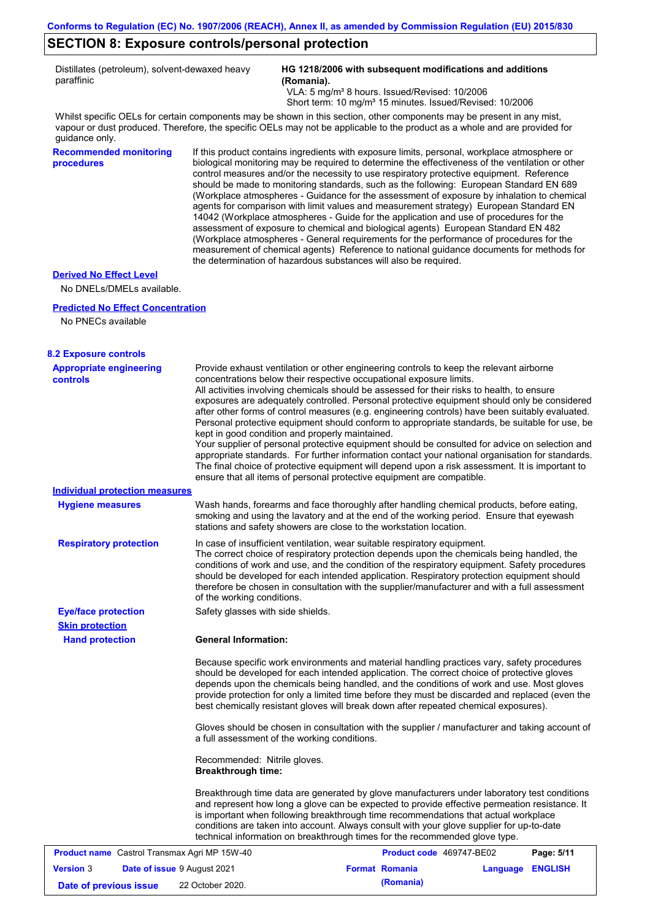### **SECTION 8: Exposure controls/personal protection**

Distillates (petroleum), solvent-dewaxed heavy paraffinic

**HG 1218/2006 with subsequent modifications and additions (Romania).**

VLA: 5 mg/m<sup>3</sup> 8 hours. Issued/Revised: 10/2006 Short term: 10 mg/m<sup>3</sup> 15 minutes. Issued/Revised: 10/2006

Whilst specific OELs for certain components may be shown in this section, other components may be present in any mist, vapour or dust produced. Therefore, the specific OELs may not be applicable to the product as a whole and are provided for guidance only.

**Recommended monitoring procedures**

If this product contains ingredients with exposure limits, personal, workplace atmosphere or biological monitoring may be required to determine the effectiveness of the ventilation or other control measures and/or the necessity to use respiratory protective equipment. Reference should be made to monitoring standards, such as the following: European Standard EN 689 (Workplace atmospheres - Guidance for the assessment of exposure by inhalation to chemical agents for comparison with limit values and measurement strategy) European Standard EN 14042 (Workplace atmospheres - Guide for the application and use of procedures for the assessment of exposure to chemical and biological agents) European Standard EN 482 (Workplace atmospheres - General requirements for the performance of procedures for the measurement of chemical agents) Reference to national guidance documents for methods for the determination of hazardous substances will also be required.

### **Derived No Effect Level**

No DNELs/DMELs available.

### **Predicted No Effect Concentration**

No PNECs available

### **8.2 Exposure controls**

| <b>Appropriate engineering</b><br><b>controls</b>      | Provide exhaust ventilation or other engineering controls to keep the relevant airborne<br>concentrations below their respective occupational exposure limits.<br>All activities involving chemicals should be assessed for their risks to health, to ensure<br>exposures are adequately controlled. Personal protective equipment should only be considered<br>after other forms of control measures (e.g. engineering controls) have been suitably evaluated.<br>Personal protective equipment should conform to appropriate standards, be suitable for use, be |                       |                          |                  |            |
|--------------------------------------------------------|-------------------------------------------------------------------------------------------------------------------------------------------------------------------------------------------------------------------------------------------------------------------------------------------------------------------------------------------------------------------------------------------------------------------------------------------------------------------------------------------------------------------------------------------------------------------|-----------------------|--------------------------|------------------|------------|
|                                                        | kept in good condition and properly maintained.<br>Your supplier of personal protective equipment should be consulted for advice on selection and<br>appropriate standards. For further information contact your national organisation for standards.<br>The final choice of protective equipment will depend upon a risk assessment. It is important to<br>ensure that all items of personal protective equipment are compatible.                                                                                                                                |                       |                          |                  |            |
| <b>Individual protection measures</b>                  |                                                                                                                                                                                                                                                                                                                                                                                                                                                                                                                                                                   |                       |                          |                  |            |
| <b>Hygiene measures</b>                                | Wash hands, forearms and face thoroughly after handling chemical products, before eating,<br>smoking and using the lavatory and at the end of the working period. Ensure that eyewash<br>stations and safety showers are close to the workstation location.                                                                                                                                                                                                                                                                                                       |                       |                          |                  |            |
| <b>Respiratory protection</b>                          | In case of insufficient ventilation, wear suitable respiratory equipment.<br>The correct choice of respiratory protection depends upon the chemicals being handled, the<br>conditions of work and use, and the condition of the respiratory equipment. Safety procedures<br>should be developed for each intended application. Respiratory protection equipment should<br>therefore be chosen in consultation with the supplier/manufacturer and with a full assessment<br>of the working conditions.                                                             |                       |                          |                  |            |
| <b>Eye/face protection</b>                             | Safety glasses with side shields.                                                                                                                                                                                                                                                                                                                                                                                                                                                                                                                                 |                       |                          |                  |            |
| <b>Skin protection</b>                                 |                                                                                                                                                                                                                                                                                                                                                                                                                                                                                                                                                                   |                       |                          |                  |            |
| <b>Hand protection</b>                                 | <b>General Information:</b>                                                                                                                                                                                                                                                                                                                                                                                                                                                                                                                                       |                       |                          |                  |            |
|                                                        | Because specific work environments and material handling practices vary, safety procedures<br>should be developed for each intended application. The correct choice of protective gloves<br>depends upon the chemicals being handled, and the conditions of work and use. Most gloves<br>provide protection for only a limited time before they must be discarded and replaced (even the<br>best chemically resistant gloves will break down after repeated chemical exposures).                                                                                  |                       |                          |                  |            |
|                                                        | Gloves should be chosen in consultation with the supplier / manufacturer and taking account of<br>a full assessment of the working conditions.                                                                                                                                                                                                                                                                                                                                                                                                                    |                       |                          |                  |            |
|                                                        | Recommended: Nitrile gloves.<br><b>Breakthrough time:</b>                                                                                                                                                                                                                                                                                                                                                                                                                                                                                                         |                       |                          |                  |            |
|                                                        | Breakthrough time data are generated by glove manufacturers under laboratory test conditions<br>and represent how long a glove can be expected to provide effective permeation resistance. It<br>is important when following breakthrough time recommendations that actual workplace<br>conditions are taken into account. Always consult with your glove supplier for up-to-date<br>technical information on breakthrough times for the recommended glove type.                                                                                                  |                       |                          |                  |            |
| <b>Product name</b> Castrol Transmax Agri MP 15W-40    |                                                                                                                                                                                                                                                                                                                                                                                                                                                                                                                                                                   |                       | Product code 469747-BE02 |                  | Page: 5/11 |
| <b>Version 3</b><br><b>Date of issue 9 August 2021</b> |                                                                                                                                                                                                                                                                                                                                                                                                                                                                                                                                                                   | <b>Format Romania</b> |                          | Language ENGLISH |            |
| Date of previous issue                                 | 22 October 2020.                                                                                                                                                                                                                                                                                                                                                                                                                                                                                                                                                  |                       | (Romania)                |                  |            |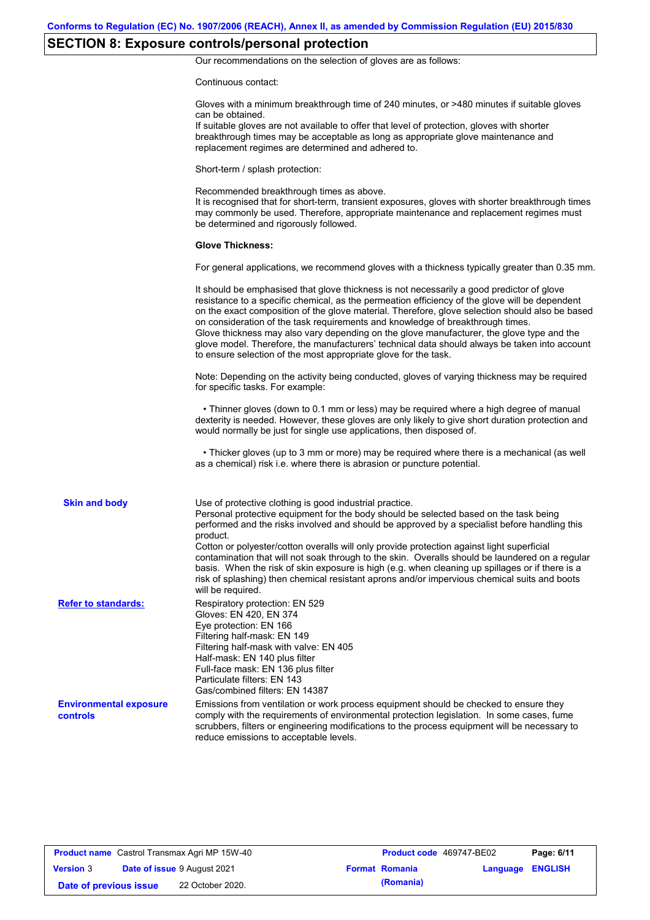# **SECTION 8: Exposure controls/personal protection**

Our recommendations on the selection of gloves are as follows:

Continuous contact:

|                                                  | Gloves with a minimum breakthrough time of 240 minutes, or >480 minutes if suitable gloves<br>can be obtained.<br>If suitable gloves are not available to offer that level of protection, gloves with shorter<br>breakthrough times may be acceptable as long as appropriate glove maintenance and<br>replacement regimes are determined and adhered to.                                                                                                                                                                                                                                                                                                                              |
|--------------------------------------------------|---------------------------------------------------------------------------------------------------------------------------------------------------------------------------------------------------------------------------------------------------------------------------------------------------------------------------------------------------------------------------------------------------------------------------------------------------------------------------------------------------------------------------------------------------------------------------------------------------------------------------------------------------------------------------------------|
|                                                  | Short-term / splash protection:                                                                                                                                                                                                                                                                                                                                                                                                                                                                                                                                                                                                                                                       |
|                                                  | Recommended breakthrough times as above.<br>It is recognised that for short-term, transient exposures, gloves with shorter breakthrough times<br>may commonly be used. Therefore, appropriate maintenance and replacement regimes must<br>be determined and rigorously followed.                                                                                                                                                                                                                                                                                                                                                                                                      |
|                                                  | <b>Glove Thickness:</b>                                                                                                                                                                                                                                                                                                                                                                                                                                                                                                                                                                                                                                                               |
|                                                  | For general applications, we recommend gloves with a thickness typically greater than 0.35 mm.                                                                                                                                                                                                                                                                                                                                                                                                                                                                                                                                                                                        |
|                                                  | It should be emphasised that glove thickness is not necessarily a good predictor of glove<br>resistance to a specific chemical, as the permeation efficiency of the glove will be dependent<br>on the exact composition of the glove material. Therefore, glove selection should also be based<br>on consideration of the task requirements and knowledge of breakthrough times.<br>Glove thickness may also vary depending on the glove manufacturer, the glove type and the<br>glove model. Therefore, the manufacturers' technical data should always be taken into account<br>to ensure selection of the most appropriate glove for the task.                                     |
|                                                  | Note: Depending on the activity being conducted, gloves of varying thickness may be required<br>for specific tasks. For example:                                                                                                                                                                                                                                                                                                                                                                                                                                                                                                                                                      |
|                                                  | • Thinner gloves (down to 0.1 mm or less) may be required where a high degree of manual<br>dexterity is needed. However, these gloves are only likely to give short duration protection and<br>would normally be just for single use applications, then disposed of.                                                                                                                                                                                                                                                                                                                                                                                                                  |
|                                                  | • Thicker gloves (up to 3 mm or more) may be required where there is a mechanical (as well<br>as a chemical) risk i.e. where there is abrasion or puncture potential.                                                                                                                                                                                                                                                                                                                                                                                                                                                                                                                 |
| <b>Skin and body</b>                             | Use of protective clothing is good industrial practice.<br>Personal protective equipment for the body should be selected based on the task being<br>performed and the risks involved and should be approved by a specialist before handling this<br>product.<br>Cotton or polyester/cotton overalls will only provide protection against light superficial<br>contamination that will not soak through to the skin. Overalls should be laundered on a regular<br>basis. When the risk of skin exposure is high (e.g. when cleaning up spillages or if there is a<br>risk of splashing) then chemical resistant aprons and/or impervious chemical suits and boots<br>will be required. |
| <b>Refer to standards:</b>                       | Respiratory protection: EN 529<br>Gloves: EN 420, EN 374<br>Eye protection: EN 166<br>Filtering half-mask: EN 149<br>Filtering half-mask with valve: EN 405<br>Half-mask: EN 140 plus filter<br>Full-face mask: EN 136 plus filter<br>Particulate filters: EN 143<br>Gas/combined filters: EN 14387                                                                                                                                                                                                                                                                                                                                                                                   |
| <b>Environmental exposure</b><br><b>controls</b> | Emissions from ventilation or work process equipment should be checked to ensure they<br>comply with the requirements of environmental protection legislation. In some cases, fume<br>scrubbers, filters or engineering modifications to the process equipment will be necessary to<br>reduce emissions to acceptable levels.                                                                                                                                                                                                                                                                                                                                                         |

| <b>Product name</b> Castrol Transmax Agri MP 15W-40 |  |                                    | <b>Product code</b> 469747-BE02 |                       | Page: 6/11       |  |
|-----------------------------------------------------|--|------------------------------------|---------------------------------|-----------------------|------------------|--|
| <b>Version 3</b>                                    |  | <b>Date of issue 9 August 2021</b> |                                 | <b>Format Romania</b> | Language ENGLISH |  |
| Date of previous issue                              |  | 22 October 2020.                   |                                 | (Romania)             |                  |  |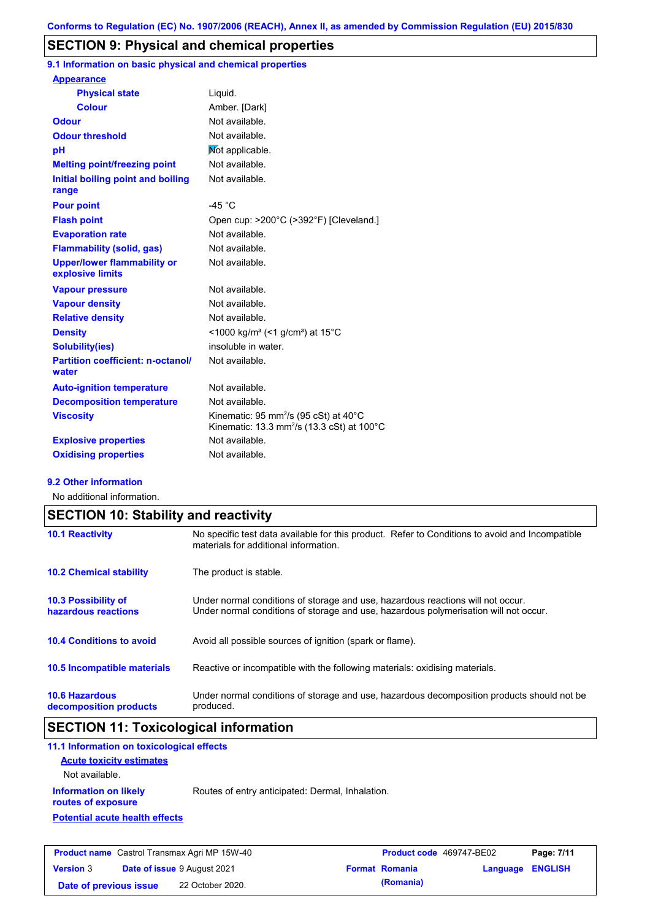### **SECTION 9: Physical and chemical properties**

**9.1 Information on basic physical and chemical properties**

| <b>Appearance</b>                                      |                                                                                                                                  |
|--------------------------------------------------------|----------------------------------------------------------------------------------------------------------------------------------|
| <b>Physical state</b>                                  | Liquid.                                                                                                                          |
| <b>Colour</b>                                          | Amber. [Dark]                                                                                                                    |
| <b>Odour</b>                                           | Not available.                                                                                                                   |
| <b>Odour threshold</b>                                 | Not available.                                                                                                                   |
| рH                                                     | Mot applicable.                                                                                                                  |
| <b>Melting point/freezing point</b>                    | Not available.                                                                                                                   |
| Initial boiling point and boiling<br>range             | Not available.                                                                                                                   |
| <b>Pour point</b>                                      | $-45 °C$                                                                                                                         |
| <b>Flash point</b>                                     | Open cup: >200°C (>392°F) [Cleveland.]                                                                                           |
| <b>Evaporation rate</b>                                | Not available.                                                                                                                   |
| Flammability (solid, gas)                              | Not available.                                                                                                                   |
| <b>Upper/lower flammability or</b><br>explosive limits | Not available.                                                                                                                   |
| <b>Vapour pressure</b>                                 | Not available.                                                                                                                   |
| <b>Vapour density</b>                                  | Not available.                                                                                                                   |
| <b>Relative density</b>                                | Not available.                                                                                                                   |
| <b>Density</b>                                         | $<$ 1000 kg/m <sup>3</sup> (<1 g/cm <sup>3</sup> ) at 15 <sup>°</sup> C                                                          |
| <b>Solubility(ies)</b>                                 | insoluble in water.                                                                                                              |
| <b>Partition coefficient: n-octanol/</b><br>water      | Not available.                                                                                                                   |
| <b>Auto-ignition temperature</b>                       | Not available.                                                                                                                   |
| <b>Decomposition temperature</b>                       | Not available.                                                                                                                   |
| <b>Viscosity</b>                                       | Kinematic: 95 mm <sup>2</sup> /s (95 cSt) at $40^{\circ}$ C<br>Kinematic: 13.3 mm <sup>2</sup> /s (13.3 cSt) at 100 $^{\circ}$ C |
| <b>Explosive properties</b>                            | Not available.                                                                                                                   |
| <b>Oxidising properties</b>                            | Not available.                                                                                                                   |
|                                                        |                                                                                                                                  |

### **9.2 Other information**

No additional information.

| <b>SECTION 10: Stability and reactivity</b>       |                                                                                                                                                                         |  |  |
|---------------------------------------------------|-------------------------------------------------------------------------------------------------------------------------------------------------------------------------|--|--|
| <b>10.1 Reactivity</b>                            | No specific test data available for this product. Refer to Conditions to avoid and Incompatible<br>materials for additional information.                                |  |  |
| <b>10.2 Chemical stability</b>                    | The product is stable.                                                                                                                                                  |  |  |
| <b>10.3 Possibility of</b><br>hazardous reactions | Under normal conditions of storage and use, hazardous reactions will not occur.<br>Under normal conditions of storage and use, hazardous polymerisation will not occur. |  |  |
| <b>10.4 Conditions to avoid</b>                   | Avoid all possible sources of ignition (spark or flame).                                                                                                                |  |  |
| <b>10.5 Incompatible materials</b>                | Reactive or incompatible with the following materials: oxidising materials.                                                                                             |  |  |
| <b>10.6 Hazardous</b><br>decomposition products   | Under normal conditions of storage and use, hazardous decomposition products should not be<br>produced.                                                                 |  |  |

# **SECTION 11: Toxicological information**

| 11.1 Information on toxicological effects          |                                                  |
|----------------------------------------------------|--------------------------------------------------|
| <b>Acute toxicity estimates</b>                    |                                                  |
| Not available.                                     |                                                  |
| <b>Information on likely</b><br>routes of exposure | Routes of entry anticipated: Dermal, Inhalation. |
| <b>Potential acute health effects</b>              |                                                  |
|                                                    |                                                  |
|                                                    |                                                  |

| <b>Product name</b> Castrol Transmax Agri MP 15W-40 |  | <b>Product code</b> 469747-BE02    |  | Page: 7/11            |                  |  |
|-----------------------------------------------------|--|------------------------------------|--|-----------------------|------------------|--|
| <b>Version 3</b>                                    |  | <b>Date of issue 9 August 2021</b> |  | <b>Format Romania</b> | Language ENGLISH |  |
| Date of previous issue                              |  | 22 October 2020.                   |  | (Romania)             |                  |  |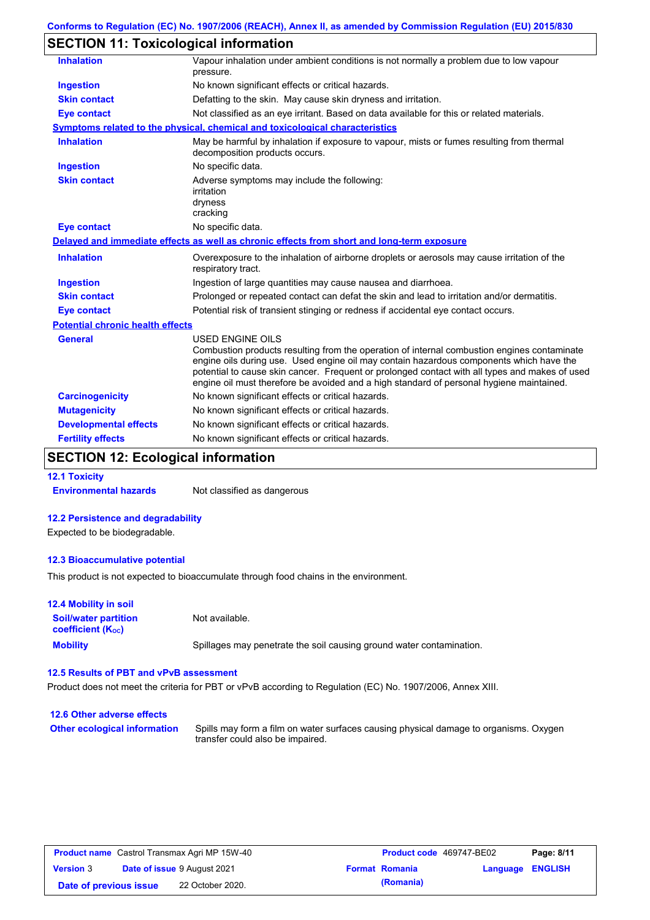# **SECTION 11: Toxicological information**

| <b>Inhalation</b>                       | Vapour inhalation under ambient conditions is not normally a problem due to low vapour<br>pressure.                                                                                                                                                                                                                                                                                                             |  |  |
|-----------------------------------------|-----------------------------------------------------------------------------------------------------------------------------------------------------------------------------------------------------------------------------------------------------------------------------------------------------------------------------------------------------------------------------------------------------------------|--|--|
| <b>Ingestion</b>                        | No known significant effects or critical hazards.                                                                                                                                                                                                                                                                                                                                                               |  |  |
| <b>Skin contact</b>                     | Defatting to the skin. May cause skin dryness and irritation.                                                                                                                                                                                                                                                                                                                                                   |  |  |
| <b>Eye contact</b>                      | Not classified as an eye irritant. Based on data available for this or related materials.                                                                                                                                                                                                                                                                                                                       |  |  |
|                                         | <b>Symptoms related to the physical, chemical and toxicological characteristics</b>                                                                                                                                                                                                                                                                                                                             |  |  |
| <b>Inhalation</b>                       | May be harmful by inhalation if exposure to vapour, mists or fumes resulting from thermal<br>decomposition products occurs.                                                                                                                                                                                                                                                                                     |  |  |
| Ingestion                               | No specific data.                                                                                                                                                                                                                                                                                                                                                                                               |  |  |
| <b>Skin contact</b>                     | Adverse symptoms may include the following:<br>irritation<br>dryness<br>cracking                                                                                                                                                                                                                                                                                                                                |  |  |
| <b>Eye contact</b>                      | No specific data.                                                                                                                                                                                                                                                                                                                                                                                               |  |  |
|                                         | Delayed and immediate effects as well as chronic effects from short and long-term exposure                                                                                                                                                                                                                                                                                                                      |  |  |
| <b>Inhalation</b>                       | Overexposure to the inhalation of airborne droplets or aerosols may cause irritation of the<br>respiratory tract.                                                                                                                                                                                                                                                                                               |  |  |
| <b>Ingestion</b>                        | Ingestion of large quantities may cause nausea and diarrhoea.                                                                                                                                                                                                                                                                                                                                                   |  |  |
| <b>Skin contact</b>                     | Prolonged or repeated contact can defat the skin and lead to irritation and/or dermatitis.                                                                                                                                                                                                                                                                                                                      |  |  |
| <b>Eye contact</b>                      | Potential risk of transient stinging or redness if accidental eye contact occurs.                                                                                                                                                                                                                                                                                                                               |  |  |
| <b>Potential chronic health effects</b> |                                                                                                                                                                                                                                                                                                                                                                                                                 |  |  |
| <b>General</b>                          | <b>USED ENGINE OILS</b><br>Combustion products resulting from the operation of internal combustion engines contaminate<br>engine oils during use. Used engine oil may contain hazardous components which have the<br>potential to cause skin cancer. Frequent or prolonged contact with all types and makes of used<br>engine oil must therefore be avoided and a high standard of personal hygiene maintained. |  |  |
| <b>Carcinogenicity</b>                  | No known significant effects or critical hazards.                                                                                                                                                                                                                                                                                                                                                               |  |  |
| <b>Mutagenicity</b>                     | No known significant effects or critical hazards.                                                                                                                                                                                                                                                                                                                                                               |  |  |
| <b>Developmental effects</b>            | No known significant effects or critical hazards.                                                                                                                                                                                                                                                                                                                                                               |  |  |
| <b>Fertility effects</b>                | No known significant effects or critical hazards.                                                                                                                                                                                                                                                                                                                                                               |  |  |
|                                         |                                                                                                                                                                                                                                                                                                                                                                                                                 |  |  |

### **SECTION 12: Ecological information**

**12.1 Toxicity Environmental hazards** Not classified as dangerous

# **12.2 Persistence and degradability**

Expected to be biodegradable.

#### **12.3 Bioaccumulative potential**

This product is not expected to bioaccumulate through food chains in the environment.

| <b>12.4 Mobility in soil</b>                                  |                                                                      |
|---------------------------------------------------------------|----------------------------------------------------------------------|
| <b>Soil/water partition</b><br>coefficient (K <sub>oc</sub> ) | Not available.                                                       |
| <b>Mobility</b>                                               | Spillages may penetrate the soil causing ground water contamination. |

### **12.5 Results of PBT and vPvB assessment**

Product does not meet the criteria for PBT or vPvB according to Regulation (EC) No. 1907/2006, Annex XIII.

| 12.6 Other adverse effects          |                                                                                                                           |
|-------------------------------------|---------------------------------------------------------------------------------------------------------------------------|
| <b>Other ecological information</b> | Spills may form a film on water surfaces causing physical damage to organisms. Oxygen<br>transfer could also be impaired. |

| <b>Product name</b> Castrol Transmax Agri MP 15W-40 |  | <b>Product code</b> 469747-BE02    |  | Page: 8/11            |                         |  |
|-----------------------------------------------------|--|------------------------------------|--|-----------------------|-------------------------|--|
| <b>Version 3</b>                                    |  | <b>Date of issue 9 August 2021</b> |  | <b>Format Romania</b> | <b>Language ENGLISH</b> |  |
| Date of previous issue                              |  | 22 October 2020.                   |  | (Romania)             |                         |  |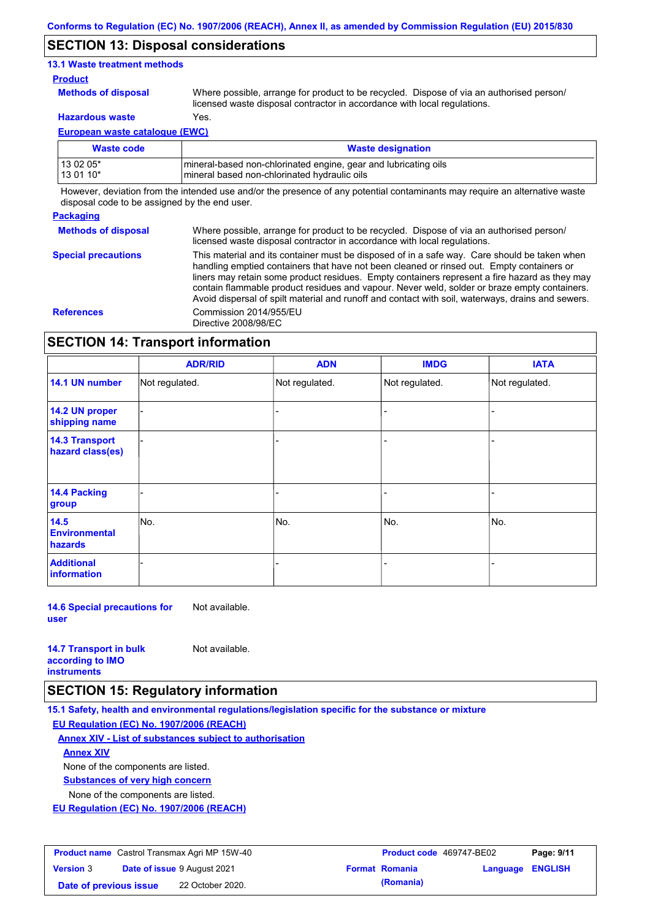### **SECTION 13: Disposal considerations**

### **13.1 Waste treatment methods**

#### **Product**

**Methods of disposal**

Where possible, arrange for product to be recycled. Dispose of via an authorised person/

**Hazardous waste** Yes.

licensed waste disposal contractor in accordance with local regulations.

**European waste catalogue (EWC)**

| Waste code  | <b>Waste designation</b>                                         |
|-------------|------------------------------------------------------------------|
| l 13 02 05* | Imineral-based non-chlorinated engine, gear and lubricating oils |
| 13 01 10*   | mineral based non-chlorinated hydraulic oils                     |

However, deviation from the intended use and/or the presence of any potential contaminants may require an alternative waste disposal code to be assigned by the end user.

### **Packaging**

**Methods of disposal** Where possible, arrange for product to be recycled. Dispose of via an authorised person/ licensed waste disposal contractor in accordance with local regulations.

**Special precautions** This material and its container must be disposed of in a safe way. Care should be taken when handling emptied containers that have not been cleaned or rinsed out. Empty containers or liners may retain some product residues. Empty containers represent a fire hazard as they may contain flammable product residues and vapour. Never weld, solder or braze empty containers. Avoid dispersal of spilt material and runoff and contact with soil, waterways, drains and sewers. **References** Commission 2014/955/EU Directive 2008/98/EC

### **SECTION 14: Transport information**

|                                           | <b>ADR/RID</b> | <b>ADN</b>     | <b>IMDG</b>    | <b>IATA</b>    |
|-------------------------------------------|----------------|----------------|----------------|----------------|
| 14.1 UN number                            | Not regulated. | Not regulated. | Not regulated. | Not regulated. |
| 14.2 UN proper<br>shipping name           |                |                | -              |                |
| <b>14.3 Transport</b><br>hazard class(es) |                |                | -              |                |
| 14.4 Packing<br>group                     |                |                |                |                |
| 14.5<br><b>Environmental</b><br>hazards   | No.            | No.            | No.            | No.            |
| <b>Additional</b><br><b>information</b>   |                |                |                |                |

**14.6 Special precautions for user** Not available.

| <b>14.7 Transport in bulk</b> | Not available. |
|-------------------------------|----------------|
| according to <b>IMO</b>       |                |
| <b>instruments</b>            |                |

### **SECTION 15: Regulatory information**

**15.1 Safety, health and environmental regulations/legislation specific for the substance or mixture EU Regulation (EC) No. 1907/2006 (REACH)**

**Annex XIV - List of substances subject to authorisation**

**Annex XIV**

None of the components are listed.

**Substances of very high concern**

None of the components are listed.

**EU Regulation (EC) No. 1907/2006 (REACH)**

| <b>Product name</b> Castrol Transmax Agri MP 15W-40 |  |                                    | <b>Product code</b> 469747-BE02 |                       | Page: 9/11              |  |
|-----------------------------------------------------|--|------------------------------------|---------------------------------|-----------------------|-------------------------|--|
| <b>Version 3</b>                                    |  | <b>Date of issue 9 August 2021</b> |                                 | <b>Format Romania</b> | <b>Language ENGLISH</b> |  |
| Date of previous issue                              |  | 22 October 2020.                   |                                 | (Romania)             |                         |  |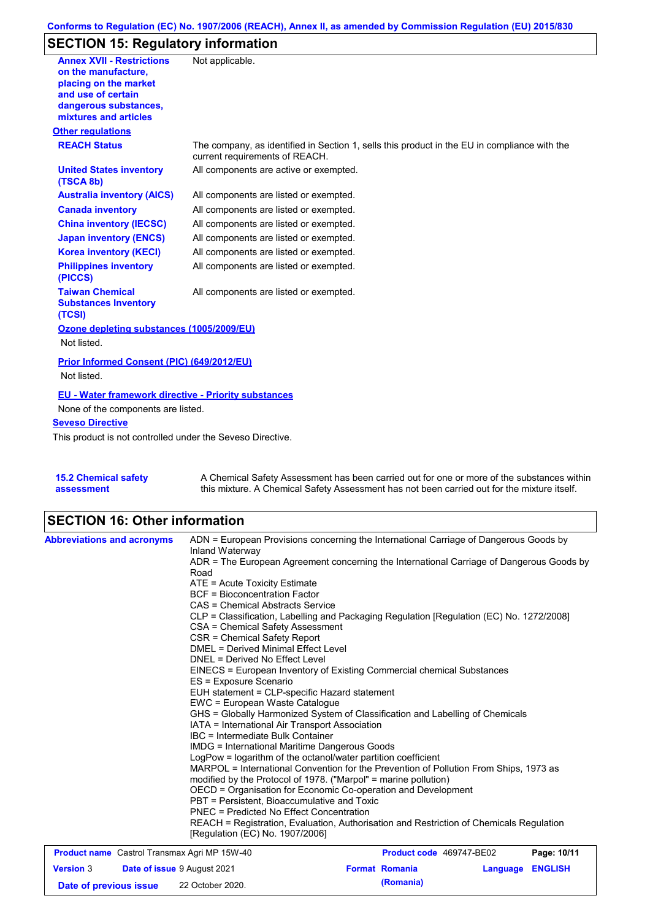# **SECTION 15: Regulatory information**

| <b>Annex XVII - Restrictions</b>                                | Not applicable.                                                                                                                                                                                                                                                          |
|-----------------------------------------------------------------|--------------------------------------------------------------------------------------------------------------------------------------------------------------------------------------------------------------------------------------------------------------------------|
| on the manufacture,                                             |                                                                                                                                                                                                                                                                          |
| placing on the market<br>and use of certain                     |                                                                                                                                                                                                                                                                          |
| dangerous substances,                                           |                                                                                                                                                                                                                                                                          |
| mixtures and articles                                           |                                                                                                                                                                                                                                                                          |
| <b>Other regulations</b>                                        |                                                                                                                                                                                                                                                                          |
| <b>REACH Status</b>                                             | The company, as identified in Section 1, sells this product in the EU in compliance with the<br>current requirements of REACH.                                                                                                                                           |
| <b>United States inventory</b><br>(TSCA 8b)                     | All components are active or exempted.                                                                                                                                                                                                                                   |
| <b>Australia inventory (AICS)</b>                               | All components are listed or exempted.                                                                                                                                                                                                                                   |
| <b>Canada inventory</b>                                         | All components are listed or exempted.                                                                                                                                                                                                                                   |
| <b>China inventory (IECSC)</b>                                  | All components are listed or exempted.                                                                                                                                                                                                                                   |
| <b>Japan inventory (ENCS)</b>                                   | All components are listed or exempted.                                                                                                                                                                                                                                   |
| <b>Korea inventory (KECI)</b>                                   | All components are listed or exempted.                                                                                                                                                                                                                                   |
| <b>Philippines inventory</b><br>(PICCS)                         | All components are listed or exempted.                                                                                                                                                                                                                                   |
| <b>Taiwan Chemical</b><br><b>Substances Inventory</b><br>(TCSI) | All components are listed or exempted.                                                                                                                                                                                                                                   |
| Ozone depleting substances (1005/2009/EU)                       |                                                                                                                                                                                                                                                                          |
| Not listed.                                                     |                                                                                                                                                                                                                                                                          |
| Prior Informed Consent (PIC) (649/2012/EU)                      |                                                                                                                                                                                                                                                                          |
| Not listed.                                                     |                                                                                                                                                                                                                                                                          |
| <b>EU - Water framework directive - Priority substances</b>     |                                                                                                                                                                                                                                                                          |
| None of the components are listed.                              |                                                                                                                                                                                                                                                                          |
| <b>Seveso Directive</b>                                         |                                                                                                                                                                                                                                                                          |
| This product is not controlled under the Seveso Directive.      |                                                                                                                                                                                                                                                                          |
|                                                                 |                                                                                                                                                                                                                                                                          |
|                                                                 |                                                                                                                                                                                                                                                                          |
| LE A Alcondoni notativ                                          | A. Observation I. On fature Approximated began began a constant for the contract of the contract of the contract of the contract of the contract of the contract of the contract of the contract of the contract of the contra<br>المتمتم وتمام والرواد المتمالة الألمان |

| <b>15.2 Chemical safety</b> | A Chemical Safety Assessment has been carried out for one or more of the substances within  |
|-----------------------------|---------------------------------------------------------------------------------------------|
| assessment                  | this mixture. A Chemical Safety Assessment has not been carried out for the mixture itself. |

# **SECTION 16: Other information**

| <b>Abbreviations and acronyms</b>                   | Inland Waterway                                                 | ADN = European Provisions concerning the International Carriage of Dangerous Goods by    |             |
|-----------------------------------------------------|-----------------------------------------------------------------|------------------------------------------------------------------------------------------|-------------|
|                                                     | Road                                                            | ADR = The European Agreement concerning the International Carriage of Dangerous Goods by |             |
|                                                     | ATE = Acute Toxicity Estimate                                   |                                                                                          |             |
|                                                     | <b>BCF</b> = Bioconcentration Factor                            |                                                                                          |             |
|                                                     | CAS = Chemical Abstracts Service                                |                                                                                          |             |
|                                                     |                                                                 | CLP = Classification, Labelling and Packaging Regulation [Regulation (EC) No. 1272/2008] |             |
|                                                     | CSA = Chemical Safety Assessment                                |                                                                                          |             |
|                                                     | CSR = Chemical Safety Report                                    |                                                                                          |             |
|                                                     | DMEL = Derived Minimal Effect Level                             |                                                                                          |             |
|                                                     | DNEL = Derived No Effect Level                                  |                                                                                          |             |
|                                                     |                                                                 | EINECS = European Inventory of Existing Commercial chemical Substances                   |             |
|                                                     | ES = Exposure Scenario                                          |                                                                                          |             |
|                                                     | EUH statement = CLP-specific Hazard statement                   |                                                                                          |             |
|                                                     | EWC = European Waste Catalogue                                  |                                                                                          |             |
|                                                     |                                                                 | GHS = Globally Harmonized System of Classification and Labelling of Chemicals            |             |
|                                                     | IATA = International Air Transport Association                  |                                                                                          |             |
|                                                     | IBC = Intermediate Bulk Container                               |                                                                                          |             |
|                                                     | <b>IMDG = International Maritime Dangerous Goods</b>            |                                                                                          |             |
|                                                     | LogPow = logarithm of the octanol/water partition coefficient   |                                                                                          |             |
|                                                     |                                                                 | MARPOL = International Convention for the Prevention of Pollution From Ships, 1973 as    |             |
|                                                     | modified by the Protocol of 1978. ("Marpol" = marine pollution) |                                                                                          |             |
|                                                     |                                                                 | OECD = Organisation for Economic Co-operation and Development                            |             |
|                                                     | PBT = Persistent. Bioaccumulative and Toxic                     |                                                                                          |             |
|                                                     | PNEC = Predicted No Effect Concentration                        |                                                                                          |             |
|                                                     | [Regulation (EC) No. 1907/2006]                                 | REACH = Registration, Evaluation, Authorisation and Restriction of Chemicals Regulation  |             |
| <b>Product name</b> Castrol Transmax Agri MP 15W-40 |                                                                 | Product code 469747-BE02                                                                 | Page: 10/11 |

| <b>Product name</b> Castrol Transmax Agri MP 15W-40    |  | <b>Product code</b> 469747-BE02 | Page: 10/11      |  |  |
|--------------------------------------------------------|--|---------------------------------|------------------|--|--|
| <b>Date of issue 9 August 2021</b><br><b>Version 3</b> |  | <b>Format Romania</b>           | Language ENGLISH |  |  |
| Date of previous issue                                 |  | 22 October 2020.                | (Romania)        |  |  |